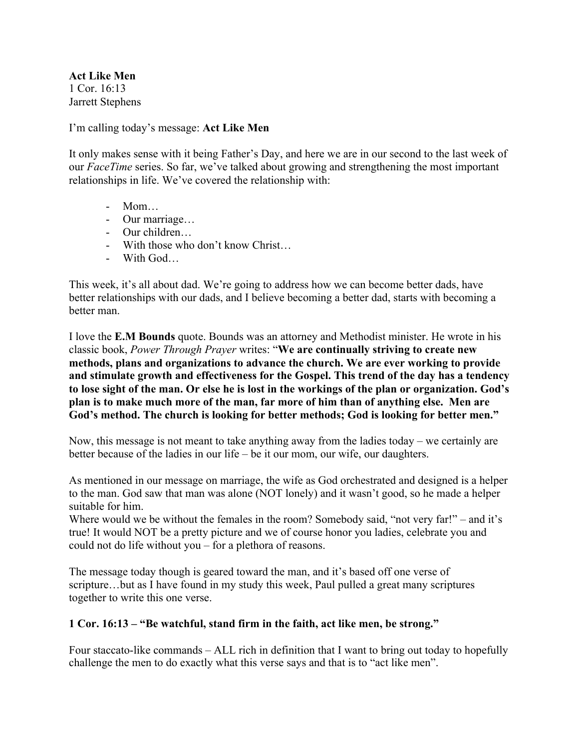**Act Like Men** 1 Cor. 16:13 Jarrett Stephens

I'm calling today's message: **Act Like Men**

It only makes sense with it being Father's Day, and here we are in our second to the last week of our *FaceTime* series. So far, we've talked about growing and strengthening the most important relationships in life. We've covered the relationship with:

- Mom…
- Our marriage…
- Our children…
- With those who don't know Christ…
- With God…

This week, it's all about dad. We're going to address how we can become better dads, have better relationships with our dads, and I believe becoming a better dad, starts with becoming a better man.

I love the **E.M Bounds** quote. Bounds was an attorney and Methodist minister. He wrote in his classic book, *Power Through Prayer* writes: "**We are continually striving to create new methods, plans and organizations to advance the church. We are ever working to provide and stimulate growth and effectiveness for the Gospel. This trend of the day has a tendency to lose sight of the man. Or else he is lost in the workings of the plan or organization. God's plan is to make much more of the man, far more of him than of anything else. Men are God's method. The church is looking for better methods; God is looking for better men."**

Now, this message is not meant to take anything away from the ladies today – we certainly are better because of the ladies in our life – be it our mom, our wife, our daughters.

As mentioned in our message on marriage, the wife as God orchestrated and designed is a helper to the man. God saw that man was alone (NOT lonely) and it wasn't good, so he made a helper suitable for him.

Where would we be without the females in the room? Somebody said, "not very far!" – and it's true! It would NOT be a pretty picture and we of course honor you ladies, celebrate you and could not do life without you – for a plethora of reasons.

The message today though is geared toward the man, and it's based off one verse of scripture…but as I have found in my study this week, Paul pulled a great many scriptures together to write this one verse.

## **1 Cor. 16:13 – "Be watchful, stand firm in the faith, act like men, be strong."**

Four staccato-like commands – ALL rich in definition that I want to bring out today to hopefully challenge the men to do exactly what this verse says and that is to "act like men".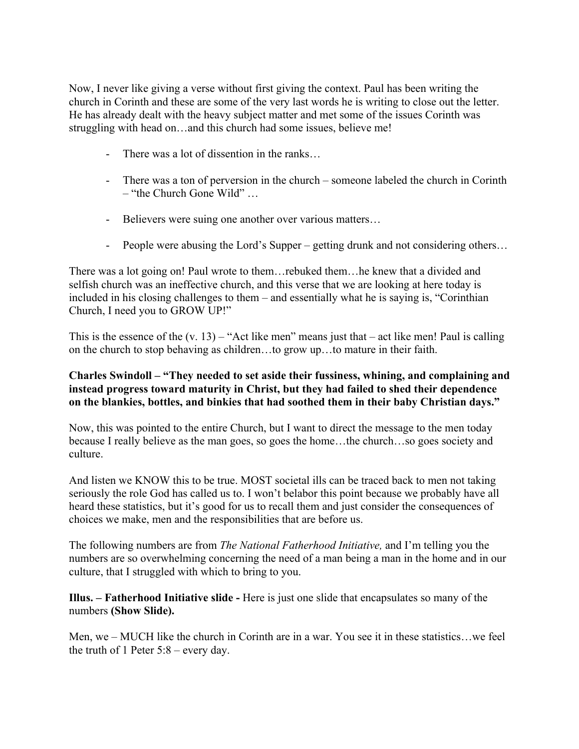Now, I never like giving a verse without first giving the context. Paul has been writing the church in Corinth and these are some of the very last words he is writing to close out the letter. He has already dealt with the heavy subject matter and met some of the issues Corinth was struggling with head on…and this church had some issues, believe me!

- There was a lot of dissention in the ranks...
- There was a ton of perversion in the church someone labeled the church in Corinth – "the Church Gone Wild" …
- Believers were suing one another over various matters...
- People were abusing the Lord's Supper getting drunk and not considering others…

There was a lot going on! Paul wrote to them…rebuked them…he knew that a divided and selfish church was an ineffective church, and this verse that we are looking at here today is included in his closing challenges to them – and essentially what he is saying is, "Corinthian Church, I need you to GROW UP!"

This is the essence of the  $(v. 13)$  – "Act like men" means just that – act like men! Paul is calling on the church to stop behaving as children…to grow up…to mature in their faith.

## **Charles Swindoll – "They needed to set aside their fussiness, whining, and complaining and instead progress toward maturity in Christ, but they had failed to shed their dependence on the blankies, bottles, and binkies that had soothed them in their baby Christian days."**

Now, this was pointed to the entire Church, but I want to direct the message to the men today because I really believe as the man goes, so goes the home…the church…so goes society and culture.

And listen we KNOW this to be true. MOST societal ills can be traced back to men not taking seriously the role God has called us to. I won't belabor this point because we probably have all heard these statistics, but it's good for us to recall them and just consider the consequences of choices we make, men and the responsibilities that are before us.

The following numbers are from *The National Fatherhood Initiative,* and I'm telling you the numbers are so overwhelming concerning the need of a man being a man in the home and in our culture, that I struggled with which to bring to you.

**Illus. – Fatherhood Initiative slide -** Here is just one slide that encapsulates so many of the numbers **(Show Slide).**

Men, we – MUCH like the church in Corinth are in a war. You see it in these statistics…we feel the truth of 1 Peter 5:8 – every day.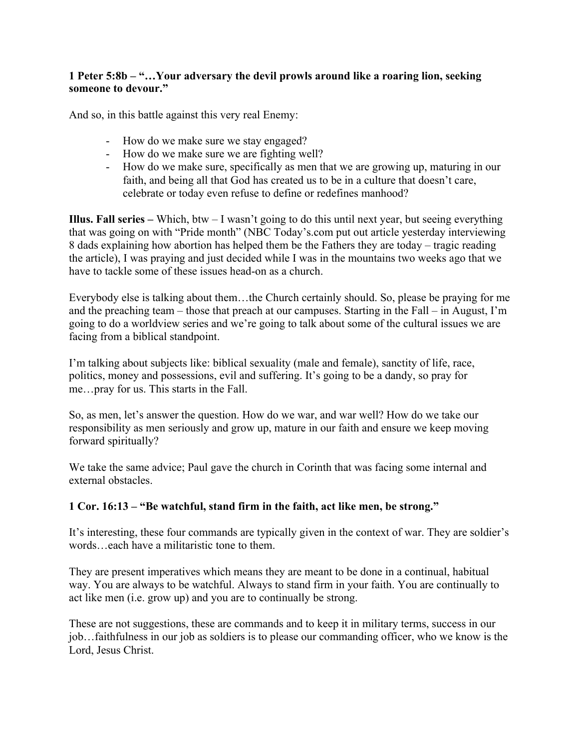## **1 Peter 5:8b – "…Your adversary the devil prowls around like a roaring lion, seeking someone to devour."**

And so, in this battle against this very real Enemy:

- How do we make sure we stay engaged?
- How do we make sure we are fighting well?
- How do we make sure, specifically as men that we are growing up, maturing in our faith, and being all that God has created us to be in a culture that doesn't care, celebrate or today even refuse to define or redefines manhood?

**Illus. Fall series –** Which, btw – I wasn't going to do this until next year, but seeing everything that was going on with "Pride month" (NBC Today's.com put out article yesterday interviewing 8 dads explaining how abortion has helped them be the Fathers they are today – tragic reading the article), I was praying and just decided while I was in the mountains two weeks ago that we have to tackle some of these issues head-on as a church.

Everybody else is talking about them…the Church certainly should. So, please be praying for me and the preaching team – those that preach at our campuses. Starting in the Fall – in August, I'm going to do a worldview series and we're going to talk about some of the cultural issues we are facing from a biblical standpoint.

I'm talking about subjects like: biblical sexuality (male and female), sanctity of life, race, politics, money and possessions, evil and suffering. It's going to be a dandy, so pray for me…pray for us. This starts in the Fall.

So, as men, let's answer the question. How do we war, and war well? How do we take our responsibility as men seriously and grow up, mature in our faith and ensure we keep moving forward spiritually?

We take the same advice; Paul gave the church in Corinth that was facing some internal and external obstacles.

## **1 Cor. 16:13 – "Be watchful, stand firm in the faith, act like men, be strong."**

It's interesting, these four commands are typically given in the context of war. They are soldier's words…each have a militaristic tone to them.

They are present imperatives which means they are meant to be done in a continual, habitual way. You are always to be watchful. Always to stand firm in your faith. You are continually to act like men (i.e. grow up) and you are to continually be strong.

These are not suggestions, these are commands and to keep it in military terms, success in our job…faithfulness in our job as soldiers is to please our commanding officer, who we know is the Lord, Jesus Christ.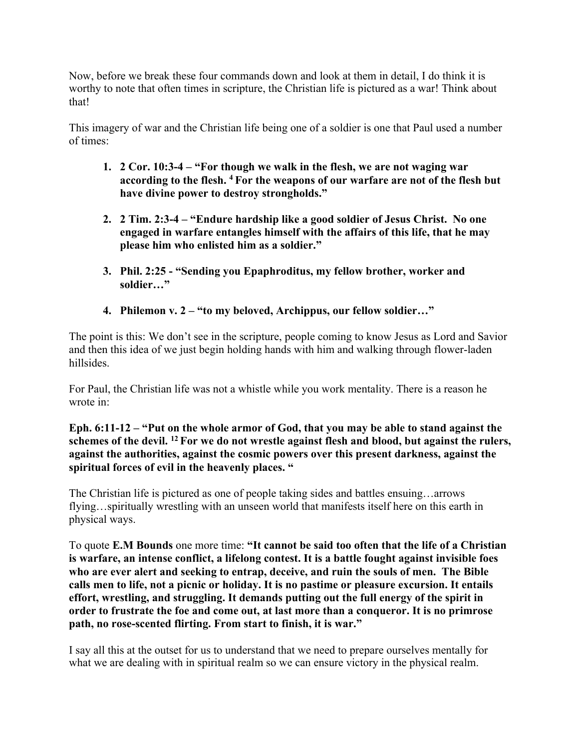Now, before we break these four commands down and look at them in detail, I do think it is worthy to note that often times in scripture, the Christian life is pictured as a war! Think about that!

This imagery of war and the Christian life being one of a soldier is one that Paul used a number of times:

- **1. 2 Cor. 10:3-4 – "For though we walk in the flesh, we are not waging war according to the flesh. <sup>4</sup> For the weapons of our warfare are not of the flesh but have divine power to destroy strongholds."**
- **2. 2 Tim. 2:3-4 – "Endure hardship like a good soldier of Jesus Christ. No one engaged in warfare entangles himself with the affairs of this life, that he may please him who enlisted him as a soldier."**
- **3. Phil. 2:25 - "Sending you Epaphroditus, my fellow brother, worker and soldier…"**
- **4. Philemon v. 2 – "to my beloved, Archippus, our fellow soldier…"**

The point is this: We don't see in the scripture, people coming to know Jesus as Lord and Savior and then this idea of we just begin holding hands with him and walking through flower-laden hillsides.

For Paul, the Christian life was not a whistle while you work mentality. There is a reason he wrote in:

**Eph. 6:11-12 – "Put on the whole armor of God, that you may be able to stand against the schemes of the devil. <sup>12</sup> For we do not wrestle against flesh and blood, but against the rulers, against the authorities, against the cosmic powers over this present darkness, against the spiritual forces of evil in the heavenly places. "**

The Christian life is pictured as one of people taking sides and battles ensuing…arrows flying…spiritually wrestling with an unseen world that manifests itself here on this earth in physical ways.

To quote **E.M Bounds** one more time: **"It cannot be said too often that the life of a Christian is warfare, an intense conflict, a lifelong contest. It is a battle fought against invisible foes who are ever alert and seeking to entrap, deceive, and ruin the souls of men. The Bible calls men to life, not a picnic or holiday. It is no pastime or pleasure excursion. It entails effort, wrestling, and struggling. It demands putting out the full energy of the spirit in order to frustrate the foe and come out, at last more than a conqueror. It is no primrose path, no rose-scented flirting. From start to finish, it is war."**

I say all this at the outset for us to understand that we need to prepare ourselves mentally for what we are dealing with in spiritual realm so we can ensure victory in the physical realm.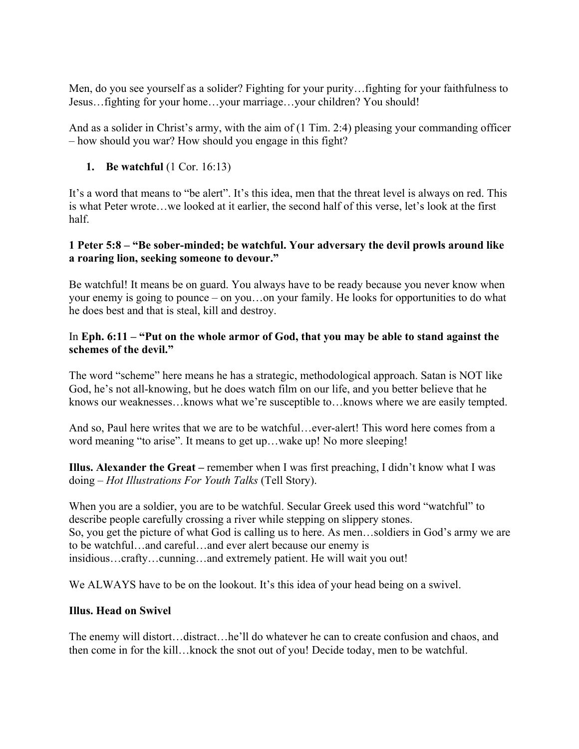Men, do you see yourself as a solider? Fighting for your purity…fighting for your faithfulness to Jesus…fighting for your home…your marriage…your children? You should!

And as a solider in Christ's army, with the aim of (1 Tim. 2:4) pleasing your commanding officer – how should you war? How should you engage in this fight?

**1. Be watchful** (1 Cor. 16:13)

It's a word that means to "be alert". It's this idea, men that the threat level is always on red. This is what Peter wrote…we looked at it earlier, the second half of this verse, let's look at the first half.

# **1 Peter 5:8 – "Be sober-minded; be watchful. Your adversary the devil prowls around like a roaring lion, seeking someone to devour."**

Be watchful! It means be on guard. You always have to be ready because you never know when your enemy is going to pounce – on you…on your family. He looks for opportunities to do what he does best and that is steal, kill and destroy.

#### In **Eph. 6:11 – "Put on the whole armor of God, that you may be able to stand against the schemes of the devil."**

The word "scheme" here means he has a strategic, methodological approach. Satan is NOT like God, he's not all-knowing, but he does watch film on our life, and you better believe that he knows our weaknesses…knows what we're susceptible to…knows where we are easily tempted.

And so, Paul here writes that we are to be watchful…ever-alert! This word here comes from a word meaning "to arise". It means to get up…wake up! No more sleeping!

**Illus. Alexander the Great –** remember when I was first preaching, I didn't know what I was doing – *Hot Illustrations For Youth Talks* (Tell Story).

When you are a soldier, you are to be watchful. Secular Greek used this word "watchful" to describe people carefully crossing a river while stepping on slippery stones. So, you get the picture of what God is calling us to here. As men…soldiers in God's army we are to be watchful…and careful…and ever alert because our enemy is insidious…crafty…cunning…and extremely patient. He will wait you out!

We ALWAYS have to be on the lookout. It's this idea of your head being on a swivel.

## **Illus. Head on Swivel**

The enemy will distort…distract…he'll do whatever he can to create confusion and chaos, and then come in for the kill…knock the snot out of you! Decide today, men to be watchful.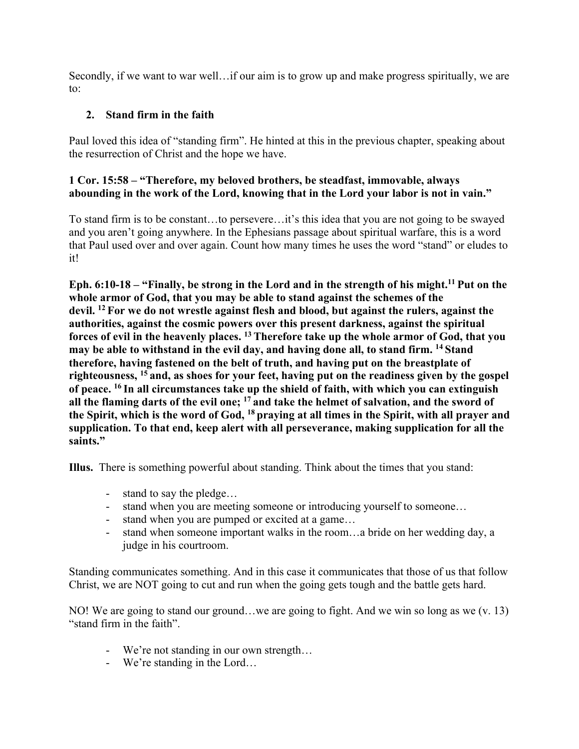Secondly, if we want to war well…if our aim is to grow up and make progress spiritually, we are to:

# **2. Stand firm in the faith**

Paul loved this idea of "standing firm". He hinted at this in the previous chapter, speaking about the resurrection of Christ and the hope we have.

## **1 Cor. 15:58 – "Therefore, my beloved brothers, be steadfast, immovable, always abounding in the work of the Lord, knowing that in the Lord your labor is not in vain."**

To stand firm is to be constant…to persevere…it's this idea that you are not going to be swayed and you aren't going anywhere. In the Ephesians passage about spiritual warfare, this is a word that Paul used over and over again. Count how many times he uses the word "stand" or eludes to it!

**Eph. 6:10-18 – "Finally, be strong in the Lord and in the strength of his might.11 Put on the whole armor of God, that you may be able to stand against the schemes of the devil. <sup>12</sup> For we do not wrestle against flesh and blood, but against the rulers, against the authorities, against the cosmic powers over this present darkness, against the spiritual forces of evil in the heavenly places. <sup>13</sup> Therefore take up the whole armor of God, that you may be able to withstand in the evil day, and having done all, to stand firm. <sup>14</sup> Stand therefore, having fastened on the belt of truth, and having put on the breastplate of righteousness, <sup>15</sup> and, as shoes for your feet, having put on the readiness given by the gospel of peace. <sup>16</sup> In all circumstances take up the shield of faith, with which you can extinguish all the flaming darts of the evil one; <sup>17</sup> and take the helmet of salvation, and the sword of the Spirit, which is the word of God, <sup>18</sup> praying at all times in the Spirit, with all prayer and supplication. To that end, keep alert with all perseverance, making supplication for all the saints."**

**Illus.** There is something powerful about standing. Think about the times that you stand:

- stand to say the pledge…
- stand when you are meeting someone or introducing yourself to someone...
- stand when you are pumped or excited at a game...
- stand when someone important walks in the room…a bride on her wedding day, a judge in his courtroom.

Standing communicates something. And in this case it communicates that those of us that follow Christ, we are NOT going to cut and run when the going gets tough and the battle gets hard.

NO! We are going to stand our ground…we are going to fight. And we win so long as we (v. 13) "stand firm in the faith".

- We're not standing in our own strength…
- We're standing in the Lord…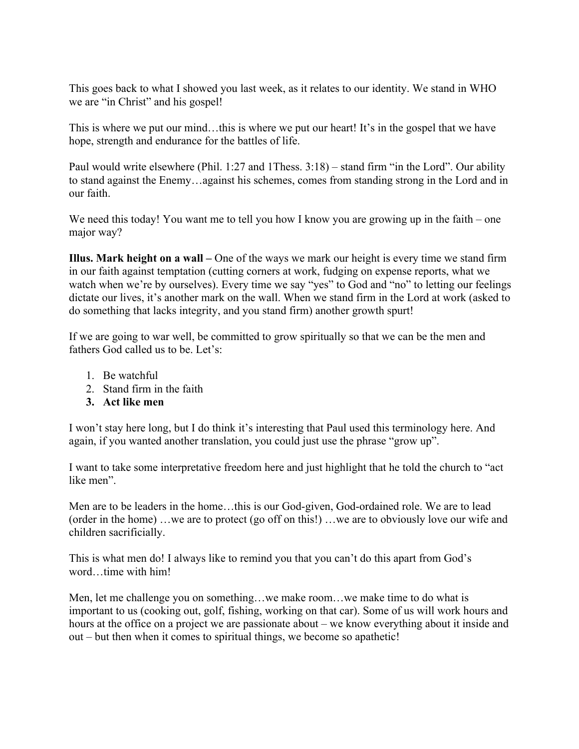This goes back to what I showed you last week, as it relates to our identity. We stand in WHO we are "in Christ" and his gospel!

This is where we put our mind…this is where we put our heart! It's in the gospel that we have hope, strength and endurance for the battles of life.

Paul would write elsewhere (Phil. 1:27 and 1Thess. 3:18) – stand firm "in the Lord". Our ability to stand against the Enemy…against his schemes, comes from standing strong in the Lord and in our faith.

We need this today! You want me to tell you how I know you are growing up in the faith – one major way?

**Illus. Mark height on a wall –** One of the ways we mark our height is every time we stand firm in our faith against temptation (cutting corners at work, fudging on expense reports, what we watch when we're by ourselves). Every time we say "yes" to God and "no" to letting our feelings dictate our lives, it's another mark on the wall. When we stand firm in the Lord at work (asked to do something that lacks integrity, and you stand firm) another growth spurt!

If we are going to war well, be committed to grow spiritually so that we can be the men and fathers God called us to be. Let's:

- 1. Be watchful
- 2. Stand firm in the faith
- **3. Act like men**

I won't stay here long, but I do think it's interesting that Paul used this terminology here. And again, if you wanted another translation, you could just use the phrase "grow up".

I want to take some interpretative freedom here and just highlight that he told the church to "act like men".

Men are to be leaders in the home…this is our God-given, God-ordained role. We are to lead (order in the home) …we are to protect (go off on this!) …we are to obviously love our wife and children sacrificially.

This is what men do! I always like to remind you that you can't do this apart from God's word…time with him!

Men, let me challenge you on something…we make room…we make time to do what is important to us (cooking out, golf, fishing, working on that car). Some of us will work hours and hours at the office on a project we are passionate about – we know everything about it inside and out – but then when it comes to spiritual things, we become so apathetic!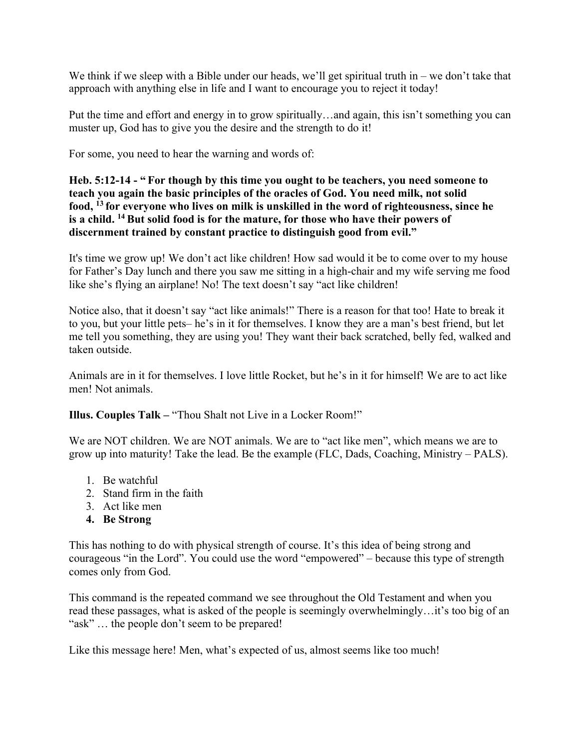We think if we sleep with a Bible under our heads, we'll get spiritual truth in – we don't take that approach with anything else in life and I want to encourage you to reject it today!

Put the time and effort and energy in to grow spiritually…and again, this isn't something you can muster up, God has to give you the desire and the strength to do it!

For some, you need to hear the warning and words of:

**Heb. 5:12-14 - " For though by this time you ought to be teachers, you need someone to teach you again the basic principles of the oracles of God. You need milk, not solid food, <sup>13</sup> for everyone who lives on milk is unskilled in the word of righteousness, since he is a child. <sup>14</sup> But solid food is for the mature, for those who have their powers of discernment trained by constant practice to distinguish good from evil."**

It's time we grow up! We don't act like children! How sad would it be to come over to my house for Father's Day lunch and there you saw me sitting in a high-chair and my wife serving me food like she's flying an airplane! No! The text doesn't say "act like children!

Notice also, that it doesn't say "act like animals!" There is a reason for that too! Hate to break it to you, but your little pets– he's in it for themselves. I know they are a man's best friend, but let me tell you something, they are using you! They want their back scratched, belly fed, walked and taken outside.

Animals are in it for themselves. I love little Rocket, but he's in it for himself! We are to act like men! Not animals.

**Illus. Couples Talk –** "Thou Shalt not Live in a Locker Room!"

We are NOT children. We are NOT animals. We are to "act like men", which means we are to grow up into maturity! Take the lead. Be the example (FLC, Dads, Coaching, Ministry – PALS).

- 1. Be watchful
- 2. Stand firm in the faith
- 3. Act like men
- **4. Be Strong**

This has nothing to do with physical strength of course. It's this idea of being strong and courageous "in the Lord". You could use the word "empowered" – because this type of strength comes only from God.

This command is the repeated command we see throughout the Old Testament and when you read these passages, what is asked of the people is seemingly overwhelmingly…it's too big of an "ask" ... the people don't seem to be prepared!

Like this message here! Men, what's expected of us, almost seems like too much!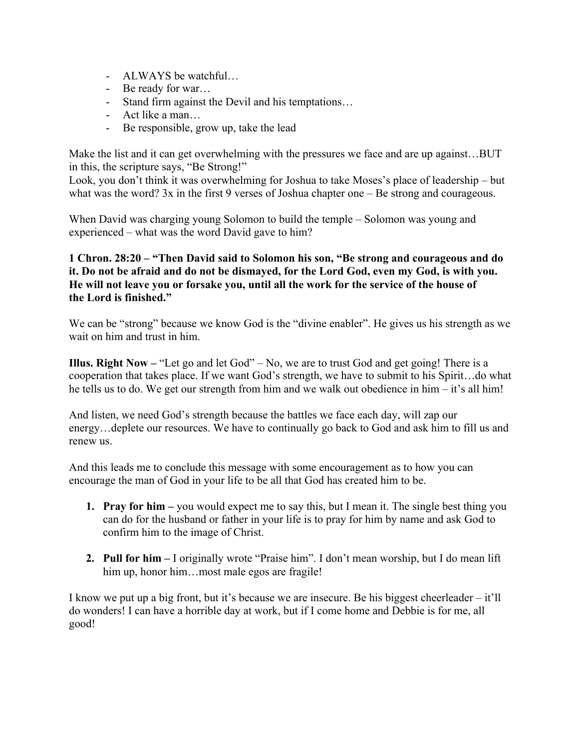- ALWAYS be watchful…
- Be ready for war…
- Stand firm against the Devil and his temptations…
- Act like a man…
- Be responsible, grow up, take the lead

Make the list and it can get overwhelming with the pressures we face and are up against...BUT in this, the scripture says, "Be Strong!"

Look, you don't think it was overwhelming for Joshua to take Moses's place of leadership – but what was the word? 3x in the first 9 verses of Joshua chapter one – Be strong and courageous.

When David was charging young Solomon to build the temple – Solomon was young and experienced – what was the word David gave to him?

## **1 Chron. 28:20 – "Then David said to Solomon his son, "Be strong and courageous and do it. Do not be afraid and do not be dismayed, for the Lord God, even my God, is with you. He will not leave you or forsake you, until all the work for the service of the house of the Lord is finished."**

We can be "strong" because we know God is the "divine enabler". He gives us his strength as we wait on him and trust in him.

**Illus. Right Now –** "Let go and let God" – No, we are to trust God and get going! There is a cooperation that takes place. If we want God's strength, we have to submit to his Spirit…do what he tells us to do. We get our strength from him and we walk out obedience in him – it's all him!

And listen, we need God's strength because the battles we face each day, will zap our energy…deplete our resources. We have to continually go back to God and ask him to fill us and renew us.

And this leads me to conclude this message with some encouragement as to how you can encourage the man of God in your life to be all that God has created him to be.

- **1. Pray for him –** you would expect me to say this, but I mean it. The single best thing you can do for the husband or father in your life is to pray for him by name and ask God to confirm him to the image of Christ.
- **2. Pull for him –** I originally wrote "Praise him". I don't mean worship, but I do mean lift him up, honor him...most male egos are fragile!

I know we put up a big front, but it's because we are insecure. Be his biggest cheerleader – it'll do wonders! I can have a horrible day at work, but if I come home and Debbie is for me, all good!